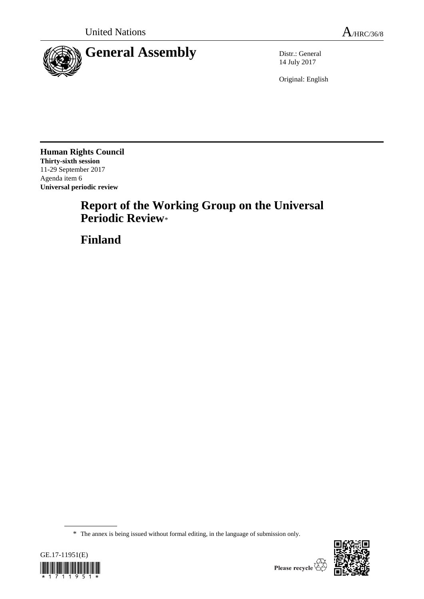

14 July 2017

Original: English

**Human Rights Council Thirty-sixth session** 11-29 September 2017 Agenda item 6 **Universal periodic review**

# **Report of the Working Group on the Universal Periodic Review**\*

**Finland**

<sup>\*</sup> The annex is being issued without formal editing, in the language of submission only.



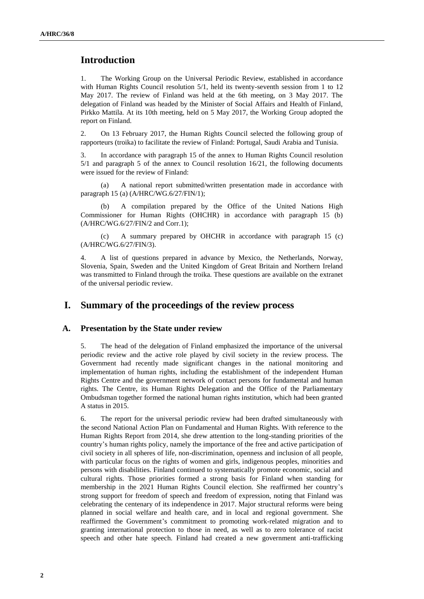## **Introduction**

1. The Working Group on the Universal Periodic Review, established in accordance with Human Rights Council resolution 5/1, held its twenty-seventh session from 1 to 12 May 2017. The review of Finland was held at the 6th meeting, on 3 May 2017. The delegation of Finland was headed by the Minister of Social Affairs and Health of Finland, Pirkko Mattila. At its 10th meeting, held on 5 May 2017, the Working Group adopted the report on Finland.

2. On 13 February 2017, the Human Rights Council selected the following group of rapporteurs (troika) to facilitate the review of Finland: Portugal, Saudi Arabia and Tunisia.

3. In accordance with paragraph 15 of the annex to Human Rights Council resolution 5/1 and paragraph 5 of the annex to Council resolution 16/21, the following documents were issued for the review of Finland:

(a) A national report submitted/written presentation made in accordance with paragraph 15 (a) (A/HRC/WG.6/27/FIN/1);

(b) A compilation prepared by the Office of the United Nations High Commissioner for Human Rights (OHCHR) in accordance with paragraph 15 (b) (A/HRC/WG.6/27/FIN/2 and Corr.1);

(c) A summary prepared by OHCHR in accordance with paragraph 15 (c) (A/HRC/WG.6/27/FIN/3).

4. A list of questions prepared in advance by Mexico, the Netherlands, Norway, Slovenia, Spain, Sweden and the United Kingdom of Great Britain and Northern Ireland was transmitted to Finland through the troika. These questions are available on the extranet of the universal periodic review.

## **I. Summary of the proceedings of the review process**

#### **A. Presentation by the State under review**

5. The head of the delegation of Finland emphasized the importance of the universal periodic review and the active role played by civil society in the review process. The Government had recently made significant changes in the national monitoring and implementation of human rights, including the establishment of the independent Human Rights Centre and the government network of contact persons for fundamental and human rights. The Centre, its Human Rights Delegation and the Office of the Parliamentary Ombudsman together formed the national human rights institution, which had been granted A status in 2015.

6. The report for the universal periodic review had been drafted simultaneously with the second National Action Plan on Fundamental and Human Rights. With reference to the Human Rights Report from 2014, she drew attention to the long-standing priorities of the country's human rights policy, namely the importance of the free and active participation of civil society in all spheres of life, non-discrimination, openness and inclusion of all people, with particular focus on the rights of women and girls, indigenous peoples, minorities and persons with disabilities. Finland continued to systematically promote economic, social and cultural rights. Those priorities formed a strong basis for Finland when standing for membership in the 2021 Human Rights Council election. She reaffirmed her country's strong support for freedom of speech and freedom of expression, noting that Finland was celebrating the centenary of its independence in 2017. Major structural reforms were being planned in social welfare and health care, and in local and regional government. She reaffirmed the Government's commitment to promoting work-related migration and to granting international protection to those in need, as well as to zero tolerance of racist speech and other hate speech. Finland had created a new government anti-trafficking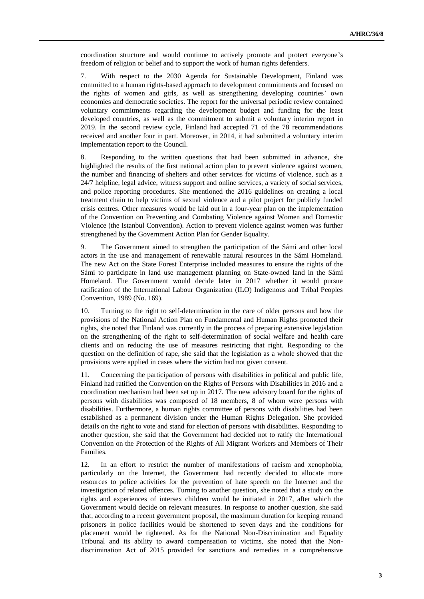coordination structure and would continue to actively promote and protect everyone's freedom of religion or belief and to support the work of human rights defenders.

7. With respect to the 2030 Agenda for Sustainable Development, Finland was committed to a human rights-based approach to development commitments and focused on the rights of women and girls, as well as strengthening developing countries' own economies and democratic societies. The report for the universal periodic review contained voluntary commitments regarding the development budget and funding for the least developed countries, as well as the commitment to submit a voluntary interim report in 2019. In the second review cycle, Finland had accepted 71 of the 78 recommendations received and another four in part. Moreover, in 2014, it had submitted a voluntary interim implementation report to the Council.

8. Responding to the written questions that had been submitted in advance, she highlighted the results of the first national action plan to prevent violence against women, the number and financing of shelters and other services for victims of violence, such as a 24/7 helpline, legal advice, witness support and online services, a variety of social services, and police reporting procedures. She mentioned the 2016 guidelines on creating a local treatment chain to help victims of sexual violence and a pilot project for publicly funded crisis centres. Other measures would be laid out in a four-year plan on the implementation of the Convention on Preventing and Combating Violence against Women and Domestic Violence (the Istanbul Convention). Action to prevent violence against women was further strengthened by the Government Action Plan for Gender Equality.

9. The Government aimed to strengthen the participation of the Sámi and other local actors in the use and management of renewable natural resources in the Sámi Homeland. The new Act on the State Forest Enterprise included measures to ensure the rights of the Sámi to participate in land use management planning on State-owned land in the Sámi Homeland. The Government would decide later in 2017 whether it would pursue ratification of the International Labour Organization (ILO) Indigenous and Tribal Peoples Convention, 1989 (No. 169).

10. Turning to the right to self-determination in the care of older persons and how the provisions of the National Action Plan on Fundamental and Human Rights promoted their rights, she noted that Finland was currently in the process of preparing extensive legislation on the strengthening of the right to self-determination of social welfare and health care clients and on reducing the use of measures restricting that right. Responding to the question on the definition of rape, she said that the legislation as a whole showed that the provisions were applied in cases where the victim had not given consent.

11. Concerning the participation of persons with disabilities in political and public life, Finland had ratified the Convention on the Rights of Persons with Disabilities in 2016 and a coordination mechanism had been set up in 2017. The new advisory board for the rights of persons with disabilities was composed of 18 members, 8 of whom were persons with disabilities. Furthermore, a human rights committee of persons with disabilities had been established as a permanent division under the Human Rights Delegation. She provided details on the right to vote and stand for election of persons with disabilities. Responding to another question, she said that the Government had decided not to ratify the International Convention on the Protection of the Rights of All Migrant Workers and Members of Their Families.

12. In an effort to restrict the number of manifestations of racism and xenophobia, particularly on the Internet, the Government had recently decided to allocate more resources to police activities for the prevention of hate speech on the Internet and the investigation of related offences. Turning to another question, she noted that a study on the rights and experiences of intersex children would be initiated in 2017, after which the Government would decide on relevant measures. In response to another question, she said that, according to a recent government proposal, the maximum duration for keeping remand prisoners in police facilities would be shortened to seven days and the conditions for placement would be tightened. As for the National Non-Discrimination and Equality Tribunal and its ability to award compensation to victims, she noted that the Nondiscrimination Act of 2015 provided for sanctions and remedies in a comprehensive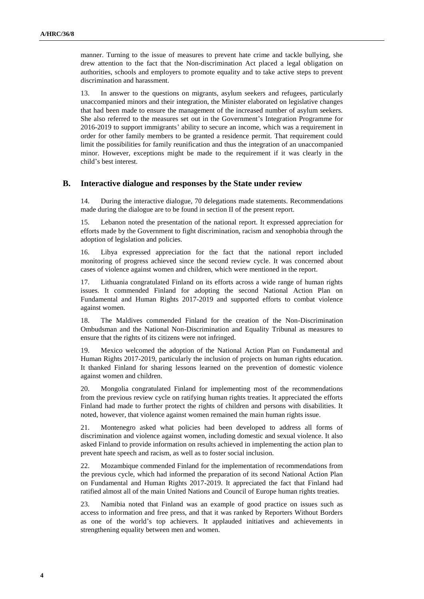manner. Turning to the issue of measures to prevent hate crime and tackle bullying, she drew attention to the fact that the Non-discrimination Act placed a legal obligation on authorities, schools and employers to promote equality and to take active steps to prevent discrimination and harassment.

13. In answer to the questions on migrants, asylum seekers and refugees, particularly unaccompanied minors and their integration, the Minister elaborated on legislative changes that had been made to ensure the management of the increased number of asylum seekers. She also referred to the measures set out in the Government's Integration Programme for 2016-2019 to support immigrants' ability to secure an income, which was a requirement in order for other family members to be granted a residence permit. That requirement could limit the possibilities for family reunification and thus the integration of an unaccompanied minor. However, exceptions might be made to the requirement if it was clearly in the child's best interest.

#### **B. Interactive dialogue and responses by the State under review**

14. During the interactive dialogue, 70 delegations made statements. Recommendations made during the dialogue are to be found in section II of the present report.

15. Lebanon noted the presentation of the national report. It expressed appreciation for efforts made by the Government to fight discrimination, racism and xenophobia through the adoption of legislation and policies.

16. Libya expressed appreciation for the fact that the national report included monitoring of progress achieved since the second review cycle. It was concerned about cases of violence against women and children, which were mentioned in the report.

17. Lithuania congratulated Finland on its efforts across a wide range of human rights issues. It commended Finland for adopting the second National Action Plan on Fundamental and Human Rights 2017-2019 and supported efforts to combat violence against women.

18. The Maldives commended Finland for the creation of the Non-Discrimination Ombudsman and the National Non-Discrimination and Equality Tribunal as measures to ensure that the rights of its citizens were not infringed.

19. Mexico welcomed the adoption of the National Action Plan on Fundamental and Human Rights 2017-2019, particularly the inclusion of projects on human rights education. It thanked Finland for sharing lessons learned on the prevention of domestic violence against women and children.

20. Mongolia congratulated Finland for implementing most of the recommendations from the previous review cycle on ratifying human rights treaties. It appreciated the efforts Finland had made to further protect the rights of children and persons with disabilities. It noted, however, that violence against women remained the main human rights issue.

21. Montenegro asked what policies had been developed to address all forms of discrimination and violence against women, including domestic and sexual violence. It also asked Finland to provide information on results achieved in implementing the action plan to prevent hate speech and racism, as well as to foster social inclusion.

22. Mozambique commended Finland for the implementation of recommendations from the previous cycle, which had informed the preparation of its second National Action Plan on Fundamental and Human Rights 2017-2019. It appreciated the fact that Finland had ratified almost all of the main United Nations and Council of Europe human rights treaties.

23. Namibia noted that Finland was an example of good practice on issues such as access to information and free press, and that it was ranked by Reporters Without Borders as one of the world's top achievers. It applauded initiatives and achievements in strengthening equality between men and women.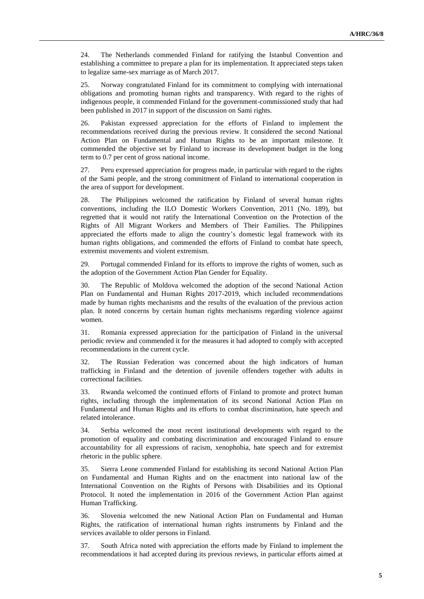24. The Netherlands commended Finland for ratifying the Istanbul Convention and establishing a committee to prepare a plan for its implementation. It appreciated steps taken to legalize same-sex marriage as of March 2017.

25. Norway congratulated Finland for its commitment to complying with international obligations and promoting human rights and transparency. With regard to the rights of indigenous people, it commended Finland for the government-commissioned study that had been published in 2017 in support of the discussion on Sami rights.

26. Pakistan expressed appreciation for the efforts of Finland to implement the recommendations received during the previous review. It considered the second National Action Plan on Fundamental and Human Rights to be an important milestone. It commended the objective set by Finland to increase its development budget in the long term to 0.7 per cent of gross national income.

27. Peru expressed appreciation for progress made, in particular with regard to the rights of the Sami people, and the strong commitment of Finland to international cooperation in the area of support for development.

28. The Philippines welcomed the ratification by Finland of several human rights conventions, including the ILO Domestic Workers Convention, 2011 (No. 189), but regretted that it would not ratify the International Convention on the Protection of the Rights of All Migrant Workers and Members of Their Families. The Philippines appreciated the efforts made to align the country's domestic legal framework with its human rights obligations, and commended the efforts of Finland to combat hate speech, extremist movements and violent extremism.

29. Portugal commended Finland for its efforts to improve the rights of women, such as the adoption of the Government Action Plan Gender for Equality.

30. The Republic of Moldova welcomed the adoption of the second National Action Plan on Fundamental and Human Rights 2017-2019, which included recommendations made by human rights mechanisms and the results of the evaluation of the previous action plan. It noted concerns by certain human rights mechanisms regarding violence against women.

31. Romania expressed appreciation for the participation of Finland in the universal periodic review and commended it for the measures it had adopted to comply with accepted recommendations in the current cycle.

32. The Russian Federation was concerned about the high indicators of human trafficking in Finland and the detention of juvenile offenders together with adults in correctional facilities.

33. Rwanda welcomed the continued efforts of Finland to promote and protect human rights, including through the implementation of its second National Action Plan on Fundamental and Human Rights and its efforts to combat discrimination, hate speech and related intolerance.

34. Serbia welcomed the most recent institutional developments with regard to the promotion of equality and combating discrimination and encouraged Finland to ensure accountability for all expressions of racism, xenophobia, hate speech and for extremist rhetoric in the public sphere.

35. Sierra Leone commended Finland for establishing its second National Action Plan on Fundamental and Human Rights and on the enactment into national law of the International Convention on the Rights of Persons with Disabilities and its Optional Protocol. It noted the implementation in 2016 of the Government Action Plan against Human Trafficking.

36. Slovenia welcomed the new National Action Plan on Fundamental and Human Rights, the ratification of international human rights instruments by Finland and the services available to older persons in Finland.

37. South Africa noted with appreciation the efforts made by Finland to implement the recommendations it had accepted during its previous reviews, in particular efforts aimed at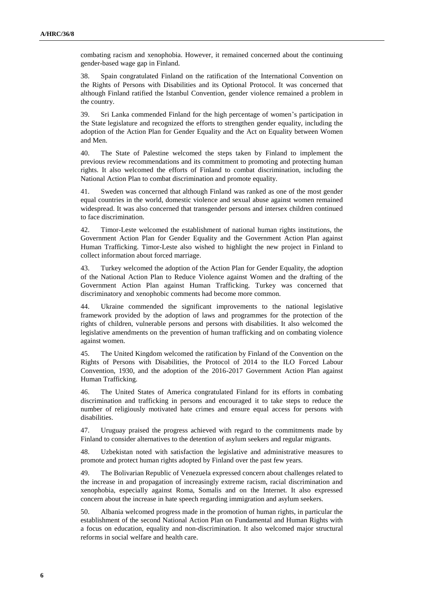combating racism and xenophobia. However, it remained concerned about the continuing gender-based wage gap in Finland.

38. Spain congratulated Finland on the ratification of the International Convention on the Rights of Persons with Disabilities and its Optional Protocol. It was concerned that although Finland ratified the Istanbul Convention, gender violence remained a problem in the country.

39. Sri Lanka commended Finland for the high percentage of women's participation in the State legislature and recognized the efforts to strengthen gender equality, including the adoption of the Action Plan for Gender Equality and the Act on Equality between Women and Men.

40. The State of Palestine welcomed the steps taken by Finland to implement the previous review recommendations and its commitment to promoting and protecting human rights. It also welcomed the efforts of Finland to combat discrimination, including the National Action Plan to combat discrimination and promote equality.

41. Sweden was concerned that although Finland was ranked as one of the most gender equal countries in the world, domestic violence and sexual abuse against women remained widespread. It was also concerned that transgender persons and intersex children continued to face discrimination.

42. Timor-Leste welcomed the establishment of national human rights institutions, the Government Action Plan for Gender Equality and the Government Action Plan against Human Trafficking. Timor-Leste also wished to highlight the new project in Finland to collect information about forced marriage.

43. Turkey welcomed the adoption of the Action Plan for Gender Equality, the adoption of the National Action Plan to Reduce Violence against Women and the drafting of the Government Action Plan against Human Trafficking. Turkey was concerned that discriminatory and xenophobic comments had become more common.

44. Ukraine commended the significant improvements to the national legislative framework provided by the adoption of laws and programmes for the protection of the rights of children, vulnerable persons and persons with disabilities. It also welcomed the legislative amendments on the prevention of human trafficking and on combating violence against women.

45. The United Kingdom welcomed the ratification by Finland of the Convention on the Rights of Persons with Disabilities, the Protocol of 2014 to the ILO Forced Labour Convention, 1930, and the adoption of the 2016-2017 Government Action Plan against Human Trafficking.

46. The United States of America congratulated Finland for its efforts in combating discrimination and trafficking in persons and encouraged it to take steps to reduce the number of religiously motivated hate crimes and ensure equal access for persons with disabilities.

47. Uruguay praised the progress achieved with regard to the commitments made by Finland to consider alternatives to the detention of asylum seekers and regular migrants.

48. Uzbekistan noted with satisfaction the legislative and administrative measures to promote and protect human rights adopted by Finland over the past few years.

49. The Bolivarian Republic of Venezuela expressed concern about challenges related to the increase in and propagation of increasingly extreme racism, racial discrimination and xenophobia, especially against Roma, Somalis and on the Internet. It also expressed concern about the increase in hate speech regarding immigration and asylum seekers.

50. Albania welcomed progress made in the promotion of human rights, in particular the establishment of the second National Action Plan on Fundamental and Human Rights with a focus on education, equality and non-discrimination. It also welcomed major structural reforms in social welfare and health care.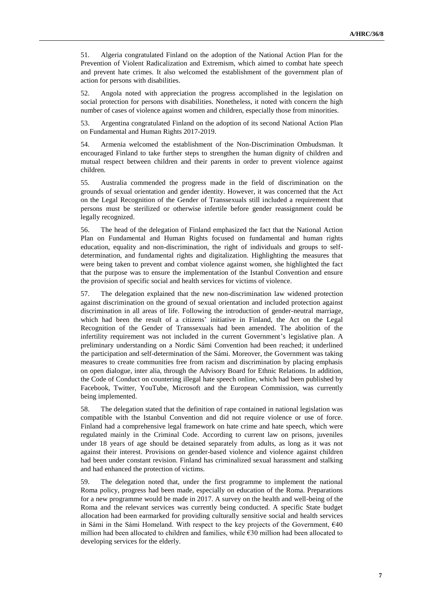51. Algeria congratulated Finland on the adoption of the National Action Plan for the Prevention of Violent Radicalization and Extremism, which aimed to combat hate speech and prevent hate crimes. It also welcomed the establishment of the government plan of action for persons with disabilities.

52. Angola noted with appreciation the progress accomplished in the legislation on social protection for persons with disabilities. Nonetheless, it noted with concern the high number of cases of violence against women and children, especially those from minorities.

53. Argentina congratulated Finland on the adoption of its second National Action Plan on Fundamental and Human Rights 2017-2019.

54. Armenia welcomed the establishment of the Non-Discrimination Ombudsman. It encouraged Finland to take further steps to strengthen the human dignity of children and mutual respect between children and their parents in order to prevent violence against children.

55. Australia commended the progress made in the field of discrimination on the grounds of sexual orientation and gender identity. However, it was concerned that the Act on the Legal Recognition of the Gender of Transsexuals still included a requirement that persons must be sterilized or otherwise infertile before gender reassignment could be legally recognized.

56. The head of the delegation of Finland emphasized the fact that the National Action Plan on Fundamental and Human Rights focused on fundamental and human rights education, equality and non-discrimination, the right of individuals and groups to selfdetermination, and fundamental rights and digitalization. Highlighting the measures that were being taken to prevent and combat violence against women, she highlighted the fact that the purpose was to ensure the implementation of the Istanbul Convention and ensure the provision of specific social and health services for victims of violence.

57. The delegation explained that the new non-discrimination law widened protection against discrimination on the ground of sexual orientation and included protection against discrimination in all areas of life. Following the introduction of gender-neutral marriage, which had been the result of a citizens' initiative in Finland, the Act on the Legal Recognition of the Gender of Transsexuals had been amended. The abolition of the infertility requirement was not included in the current Government's legislative plan. A preliminary understanding on a Nordic Sámi Convention had been reached; it underlined the participation and self-determination of the Sámi. Moreover, the Government was taking measures to create communities free from racism and discrimination by placing emphasis on open dialogue, inter alia, through the Advisory Board for Ethnic Relations. In addition, the Code of Conduct on countering illegal hate speech online, which had been published by Facebook, Twitter, YouTube, Microsoft and the European Commission, was currently being implemented.

58. The delegation stated that the definition of rape contained in national legislation was compatible with the Istanbul Convention and did not require violence or use of force. Finland had a comprehensive legal framework on hate crime and hate speech, which were regulated mainly in the Criminal Code. According to current law on prisons, juveniles under 18 years of age should be detained separately from adults, as long as it was not against their interest. Provisions on gender-based violence and violence against children had been under constant revision. Finland has criminalized sexual harassment and stalking and had enhanced the protection of victims.

59. The delegation noted that, under the first programme to implement the national Roma policy, progress had been made, especially on education of the Roma. Preparations for a new programme would be made in 2017. A survey on the health and well-being of the Roma and the relevant services was currently being conducted. A specific State budget allocation had been earmarked for providing culturally sensitive social and health services in Sámi in the Sámi Homeland. With respect to the key projects of the Government,  $\epsilon$ 40 million had been allocated to children and families, while  $\epsilon$ 30 million had been allocated to developing services for the elderly.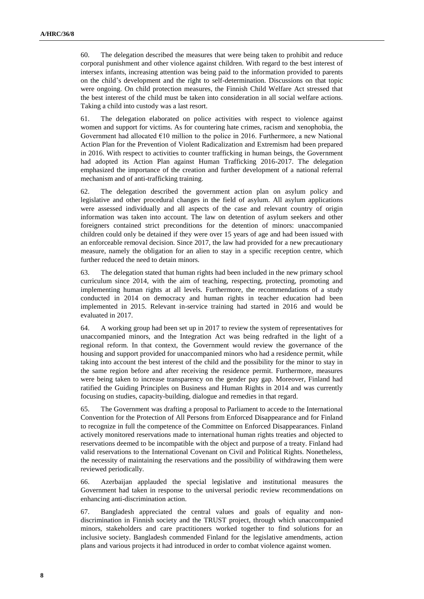60. The delegation described the measures that were being taken to prohibit and reduce corporal punishment and other violence against children. With regard to the best interest of intersex infants, increasing attention was being paid to the information provided to parents on the child's development and the right to self-determination. Discussions on that topic were ongoing. On child protection measures, the Finnish Child Welfare Act stressed that the best interest of the child must be taken into consideration in all social welfare actions. Taking a child into custody was a last resort.

61. The delegation elaborated on police activities with respect to violence against women and support for victims. As for countering hate crimes, racism and xenophobia, the Government had allocated  $€10$  million to the police in 2016. Furthermore, a new National Action Plan for the Prevention of Violent Radicalization and Extremism had been prepared in 2016. With respect to activities to counter trafficking in human beings, the Government had adopted its Action Plan against Human Trafficking 2016-2017. The delegation emphasized the importance of the creation and further development of a national referral mechanism and of anti-trafficking training.

62. The delegation described the government action plan on asylum policy and legislative and other procedural changes in the field of asylum. All asylum applications were assessed individually and all aspects of the case and relevant country of origin information was taken into account. The law on detention of asylum seekers and other foreigners contained strict preconditions for the detention of minors: unaccompanied children could only be detained if they were over 15 years of age and had been issued with an enforceable removal decision. Since 2017, the law had provided for a new precautionary measure, namely the obligation for an alien to stay in a specific reception centre, which further reduced the need to detain minors.

63. The delegation stated that human rights had been included in the new primary school curriculum since 2014, with the aim of teaching, respecting, protecting, promoting and implementing human rights at all levels. Furthermore, the recommendations of a study conducted in 2014 on democracy and human rights in teacher education had been implemented in 2015. Relevant in-service training had started in 2016 and would be evaluated in 2017.

64. A working group had been set up in 2017 to review the system of representatives for unaccompanied minors, and the Integration Act was being redrafted in the light of a regional reform. In that context, the Government would review the governance of the housing and support provided for unaccompanied minors who had a residence permit, while taking into account the best interest of the child and the possibility for the minor to stay in the same region before and after receiving the residence permit. Furthermore, measures were being taken to increase transparency on the gender pay gap. Moreover, Finland had ratified the Guiding Principles on Business and Human Rights in 2014 and was currently focusing on studies, capacity-building, dialogue and remedies in that regard.

65. The Government was drafting a proposal to Parliament to accede to the International Convention for the Protection of All Persons from Enforced Disappearance and for Finland to recognize in full the competence of the Committee on Enforced Disappearances. Finland actively monitored reservations made to international human rights treaties and objected to reservations deemed to be incompatible with the object and purpose of a treaty. Finland had valid reservations to the International Covenant on Civil and Political Rights. Nonetheless, the necessity of maintaining the reservations and the possibility of withdrawing them were reviewed periodically.

66. Azerbaijan applauded the special legislative and institutional measures the Government had taken in response to the universal periodic review recommendations on enhancing anti-discrimination action.

67. Bangladesh appreciated the central values and goals of equality and nondiscrimination in Finnish society and the TRUST project, through which unaccompanied minors, stakeholders and care practitioners worked together to find solutions for an inclusive society. Bangladesh commended Finland for the legislative amendments, action plans and various projects it had introduced in order to combat violence against women.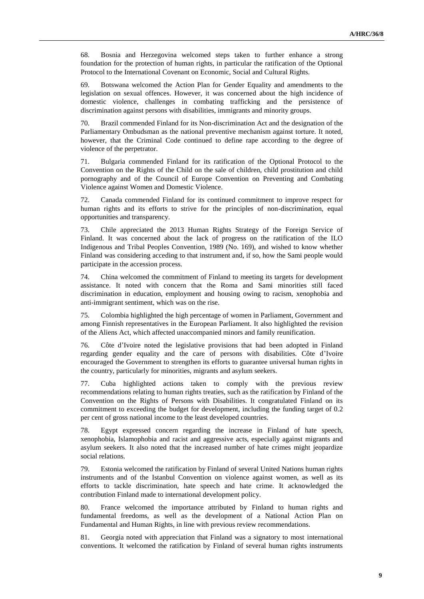68. Bosnia and Herzegovina welcomed steps taken to further enhance a strong foundation for the protection of human rights, in particular the ratification of the Optional Protocol to the International Covenant on Economic, Social and Cultural Rights.

69. Botswana welcomed the Action Plan for Gender Equality and amendments to the legislation on sexual offences. However, it was concerned about the high incidence of domestic violence, challenges in combating trafficking and the persistence of discrimination against persons with disabilities, immigrants and minority groups.

70. Brazil commended Finland for its Non-discrimination Act and the designation of the Parliamentary Ombudsman as the national preventive mechanism against torture. It noted, however, that the Criminal Code continued to define rape according to the degree of violence of the perpetrator.

71. Bulgaria commended Finland for its ratification of the Optional Protocol to the Convention on the Rights of the Child on the sale of children, child prostitution and child pornography and of the Council of Europe Convention on Preventing and Combating Violence against Women and Domestic Violence.

72. Canada commended Finland for its continued commitment to improve respect for human rights and its efforts to strive for the principles of non-discrimination, equal opportunities and transparency.

73. Chile appreciated the 2013 Human Rights Strategy of the Foreign Service of Finland. It was concerned about the lack of progress on the ratification of the ILO Indigenous and Tribal Peoples Convention, 1989 (No. 169), and wished to know whether Finland was considering acceding to that instrument and, if so, how the Sami people would participate in the accession process.

74. China welcomed the commitment of Finland to meeting its targets for development assistance. It noted with concern that the Roma and Sami minorities still faced discrimination in education, employment and housing owing to racism, xenophobia and anti-immigrant sentiment, which was on the rise.

75. Colombia highlighted the high percentage of women in Parliament, Government and among Finnish representatives in the European Parliament. It also highlighted the revision of the Aliens Act, which affected unaccompanied minors and family reunification.

76. Côte d'Ivoire noted the legislative provisions that had been adopted in Finland regarding gender equality and the care of persons with disabilities. Côte d'Ivoire encouraged the Government to strengthen its efforts to guarantee universal human rights in the country, particularly for minorities, migrants and asylum seekers.

77. Cuba highlighted actions taken to comply with the previous review recommendations relating to human rights treaties, such as the ratification by Finland of the Convention on the Rights of Persons with Disabilities. It congratulated Finland on its commitment to exceeding the budget for development, including the funding target of 0.2 per cent of gross national income to the least developed countries.

78. Egypt expressed concern regarding the increase in Finland of hate speech, xenophobia, Islamophobia and racist and aggressive acts, especially against migrants and asylum seekers. It also noted that the increased number of hate crimes might jeopardize social relations.

79. Estonia welcomed the ratification by Finland of several United Nations human rights instruments and of the Istanbul Convention on violence against women, as well as its efforts to tackle discrimination, hate speech and hate crime. It acknowledged the contribution Finland made to international development policy.

80. France welcomed the importance attributed by Finland to human rights and fundamental freedoms, as well as the development of a National Action Plan on Fundamental and Human Rights, in line with previous review recommendations.

81. Georgia noted with appreciation that Finland was a signatory to most international conventions. It welcomed the ratification by Finland of several human rights instruments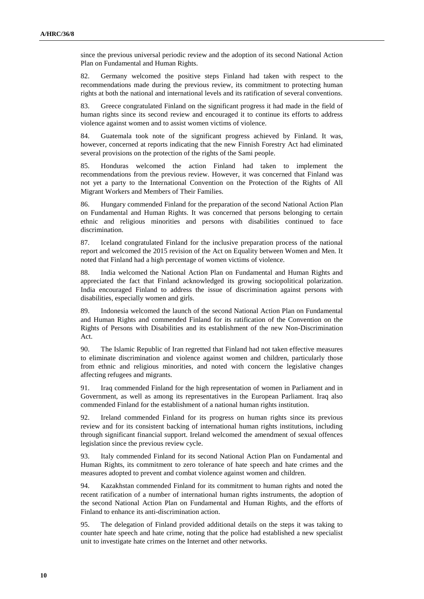since the previous universal periodic review and the adoption of its second National Action Plan on Fundamental and Human Rights.

82. Germany welcomed the positive steps Finland had taken with respect to the recommendations made during the previous review, its commitment to protecting human rights at both the national and international levels and its ratification of several conventions.

83. Greece congratulated Finland on the significant progress it had made in the field of human rights since its second review and encouraged it to continue its efforts to address violence against women and to assist women victims of violence.

84. Guatemala took note of the significant progress achieved by Finland. It was, however, concerned at reports indicating that the new Finnish Forestry Act had eliminated several provisions on the protection of the rights of the Sami people.

85. Honduras welcomed the action Finland had taken to implement the recommendations from the previous review. However, it was concerned that Finland was not yet a party to the International Convention on the Protection of the Rights of All Migrant Workers and Members of Their Families.

86. Hungary commended Finland for the preparation of the second National Action Plan on Fundamental and Human Rights. It was concerned that persons belonging to certain ethnic and religious minorities and persons with disabilities continued to face discrimination.

87. Iceland congratulated Finland for the inclusive preparation process of the national report and welcomed the 2015 revision of the Act on Equality between Women and Men. It noted that Finland had a high percentage of women victims of violence.

88. India welcomed the National Action Plan on Fundamental and Human Rights and appreciated the fact that Finland acknowledged its growing sociopolitical polarization. India encouraged Finland to address the issue of discrimination against persons with disabilities, especially women and girls.

89. Indonesia welcomed the launch of the second National Action Plan on Fundamental and Human Rights and commended Finland for its ratification of the Convention on the Rights of Persons with Disabilities and its establishment of the new Non-Discrimination Act.

90. The Islamic Republic of Iran regretted that Finland had not taken effective measures to eliminate discrimination and violence against women and children, particularly those from ethnic and religious minorities, and noted with concern the legislative changes affecting refugees and migrants.

91. Iraq commended Finland for the high representation of women in Parliament and in Government, as well as among its representatives in the European Parliament. Iraq also commended Finland for the establishment of a national human rights institution.

92. Ireland commended Finland for its progress on human rights since its previous review and for its consistent backing of international human rights institutions, including through significant financial support. Ireland welcomed the amendment of sexual offences legislation since the previous review cycle.

93. Italy commended Finland for its second National Action Plan on Fundamental and Human Rights, its commitment to zero tolerance of hate speech and hate crimes and the measures adopted to prevent and combat violence against women and children.

94. Kazakhstan commended Finland for its commitment to human rights and noted the recent ratification of a number of international human rights instruments, the adoption of the second National Action Plan on Fundamental and Human Rights, and the efforts of Finland to enhance its anti-discrimination action.

95. The delegation of Finland provided additional details on the steps it was taking to counter hate speech and hate crime, noting that the police had established a new specialist unit to investigate hate crimes on the Internet and other networks.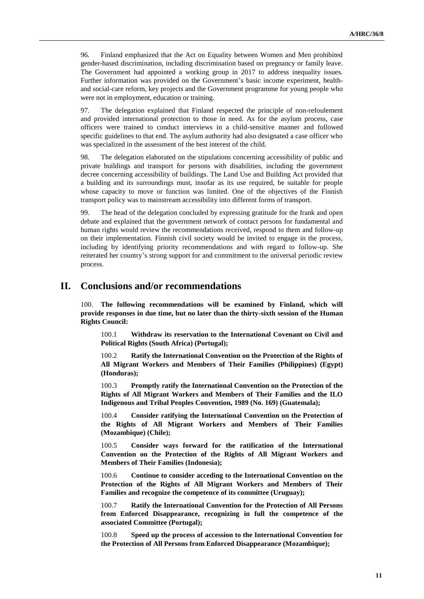96. Finland emphasized that the Act on Equality between Women and Men prohibited gender-based discrimination, including discrimination based on pregnancy or family leave. The Government had appointed a working group in 2017 to address inequality issues. Further information was provided on the Government's basic income experiment, healthand social-care reform, key projects and the Government programme for young people who were not in employment, education or training.

97. The delegation explained that Finland respected the principle of non-refoulement and provided international protection to those in need. As for the asylum process, case officers were trained to conduct interviews in a child-sensitive manner and followed specific guidelines to that end. The asylum authority had also designated a case officer who was specialized in the assessment of the best interest of the child.

98. The delegation elaborated on the stipulations concerning accessibility of public and private buildings and transport for persons with disabilities, including the government decree concerning accessibility of buildings. The Land Use and Building Act provided that a building and its surroundings must, insofar as its use required, be suitable for people whose capacity to move or function was limited. One of the objectives of the Finnish transport policy was to mainstream accessibility into different forms of transport.

99. The head of the delegation concluded by expressing gratitude for the frank and open debate and explained that the government network of contact persons for fundamental and human rights would review the recommendations received, respond to them and follow-up on their implementation. Finnish civil society would be invited to engage in the process, including by identifying priority recommendations and with regard to follow-up. She reiterated her country's strong support for and commitment to the universal periodic review process.

## **II. Conclusions and/or recommendations**

100. **The following recommendations will be examined by Finland, which will provide responses in due time, but no later than the thirty-sixth session of the Human Rights Council:**

100.1 **Withdraw its reservation to the International Covenant on Civil and Political Rights (South Africa) (Portugal);**

100.2 **Ratify the International Convention on the Protection of the Rights of All Migrant Workers and Members of Their Families (Philippines) (Egypt) (Honduras);**

100.3 **Promptly ratify the International Convention on the Protection of the Rights of All Migrant Workers and Members of Their Families and the ILO Indigenous and Tribal Peoples Convention, 1989 (No. 169) (Guatemala);**

100.4 **Consider ratifying the International Convention on the Protection of the Rights of All Migrant Workers and Members of Their Families (Mozambique) (Chile);**

100.5 **Consider ways forward for the ratification of the International Convention on the Protection of the Rights of All Migrant Workers and Members of Their Families (Indonesia);**

100.6 **Continue to consider acceding to the International Convention on the Protection of the Rights of All Migrant Workers and Members of Their Families and recognize the competence of its committee (Uruguay);**

100.7 **Ratify the International Convention for the Protection of All Persons from Enforced Disappearance, recognizing in full the competence of the associated Committee (Portugal);**

100.8 **Speed up the process of accession to the International Convention for the Protection of All Persons from Enforced Disappearance (Mozambique);**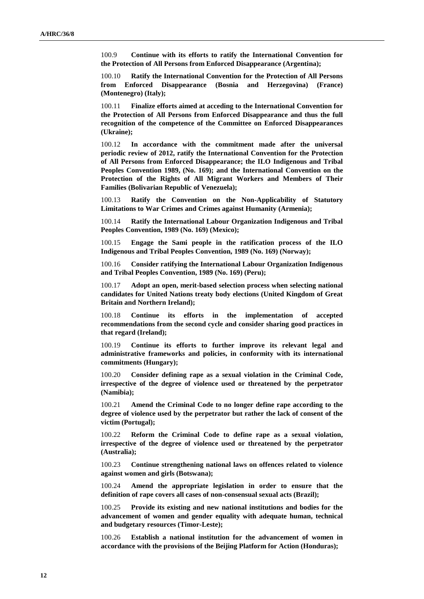100.9 **Continue with its efforts to ratify the International Convention for the Protection of All Persons from Enforced Disappearance (Argentina);**

100.10 **Ratify the International Convention for the Protection of All Persons from Enforced Disappearance (Bosnia and Herzegovina) (France) (Montenegro) (Italy);**

100.11 **Finalize efforts aimed at acceding to the International Convention for the Protection of All Persons from Enforced Disappearance and thus the full recognition of the competence of the Committee on Enforced Disappearances (Ukraine);**

100.12 **In accordance with the commitment made after the universal periodic review of 2012, ratify the International Convention for the Protection of All Persons from Enforced Disappearance; the ILO Indigenous and Tribal Peoples Convention 1989, (No. 169); and the International Convention on the Protection of the Rights of All Migrant Workers and Members of Their Families (Bolivarian Republic of Venezuela);**

100.13 **Ratify the Convention on the Non-Applicability of Statutory Limitations to War Crimes and Crimes against Humanity (Armenia);**

100.14 **Ratify the International Labour Organization Indigenous and Tribal Peoples Convention, 1989 (No. 169) (Mexico);**

100.15 **Engage the Sami people in the ratification process of the ILO Indigenous and Tribal Peoples Convention, 1989 (No. 169) (Norway);**

100.16 **Consider ratifying the International Labour Organization Indigenous and Tribal Peoples Convention, 1989 (No. 169) (Peru);**

100.17 **Adopt an open, merit-based selection process when selecting national candidates for United Nations treaty body elections (United Kingdom of Great Britain and Northern Ireland);**

100.18 **Continue its efforts in the implementation of accepted recommendations from the second cycle and consider sharing good practices in that regard (Ireland);**

100.19 **Continue its efforts to further improve its relevant legal and administrative frameworks and policies, in conformity with its international commitments (Hungary);**

100.20 **Consider defining rape as a sexual violation in the Criminal Code, irrespective of the degree of violence used or threatened by the perpetrator (Namibia);**

100.21 **Amend the Criminal Code to no longer define rape according to the degree of violence used by the perpetrator but rather the lack of consent of the victim (Portugal);**

100.22 **Reform the Criminal Code to define rape as a sexual violation, irrespective of the degree of violence used or threatened by the perpetrator (Australia);**

100.23 **Continue strengthening national laws on offences related to violence against women and girls (Botswana);**

100.24 **Amend the appropriate legislation in order to ensure that the definition of rape covers all cases of non-consensual sexual acts (Brazil);**

100.25 **Provide its existing and new national institutions and bodies for the advancement of women and gender equality with adequate human, technical and budgetary resources (Timor-Leste);**

100.26 **Establish a national institution for the advancement of women in accordance with the provisions of the Beijing Platform for Action (Honduras);**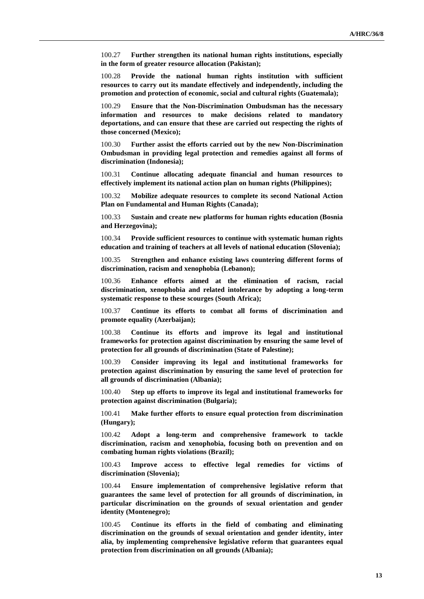100.27 **Further strengthen its national human rights institutions, especially in the form of greater resource allocation (Pakistan);**

100.28 **Provide the national human rights institution with sufficient resources to carry out its mandate effectively and independently, including the promotion and protection of economic, social and cultural rights (Guatemala);**

100.29 **Ensure that the Non-Discrimination Ombudsman has the necessary information and resources to make decisions related to mandatory deportations, and can ensure that these are carried out respecting the rights of those concerned (Mexico);**

100.30 **Further assist the efforts carried out by the new Non-Discrimination Ombudsman in providing legal protection and remedies against all forms of discrimination (Indonesia);**

100.31 **Continue allocating adequate financial and human resources to effectively implement its national action plan on human rights (Philippines);**

100.32 **Mobilize adequate resources to complete its second National Action Plan on Fundamental and Human Rights (Canada);**

100.33 **Sustain and create new platforms for human rights education (Bosnia and Herzegovina);**

100.34 **Provide sufficient resources to continue with systematic human rights education and training of teachers at all levels of national education (Slovenia);**

100.35 **Strengthen and enhance existing laws countering different forms of discrimination, racism and xenophobia (Lebanon);**

100.36 **Enhance efforts aimed at the elimination of racism, racial discrimination, xenophobia and related intolerance by adopting a long-term systematic response to these scourges (South Africa);**

100.37 **Continue its efforts to combat all forms of discrimination and promote equality (Azerbaijan);**

100.38 **Continue its efforts and improve its legal and institutional frameworks for protection against discrimination by ensuring the same level of protection for all grounds of discrimination (State of Palestine);**

100.39 **Consider improving its legal and institutional frameworks for protection against discrimination by ensuring the same level of protection for all grounds of discrimination (Albania);**

100.40 **Step up efforts to improve its legal and institutional frameworks for protection against discrimination (Bulgaria);**

100.41 **Make further efforts to ensure equal protection from discrimination (Hungary);**

100.42 **Adopt a long-term and comprehensive framework to tackle discrimination, racism and xenophobia, focusing both on prevention and on combating human rights violations (Brazil);**

100.43 **Improve access to effective legal remedies for victims of discrimination (Slovenia);**

100.44 **Ensure implementation of comprehensive legislative reform that guarantees the same level of protection for all grounds of discrimination, in particular discrimination on the grounds of sexual orientation and gender identity (Montenegro);**

100.45 **Continue its efforts in the field of combating and eliminating discrimination on the grounds of sexual orientation and gender identity, inter alia, by implementing comprehensive legislative reform that guarantees equal protection from discrimination on all grounds (Albania);**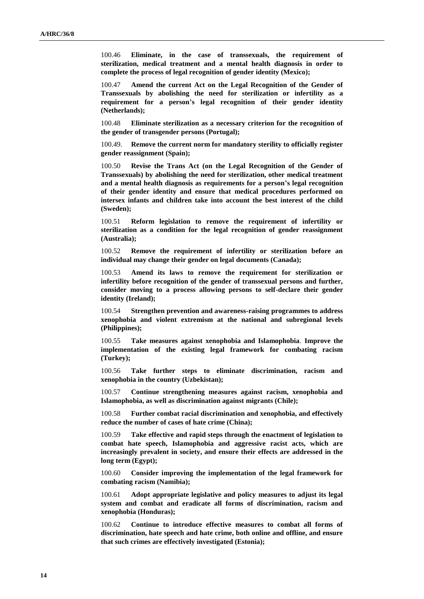100.46 **Eliminate, in the case of transsexuals, the requirement of sterilization, medical treatment and a mental health diagnosis in order to complete the process of legal recognition of gender identity (Mexico);**

100.47 **Amend the current Act on the Legal Recognition of the Gender of Transsexuals by abolishing the need for sterilization or infertility as a requirement for a person's legal recognition of their gender identity (Netherlands);**

100.48 **Eliminate sterilization as a necessary criterion for the recognition of the gender of transgender persons (Portugal);**

100.49. **Remove the current norm for mandatory sterility to officially register gender reassignment (Spain);**

100.50 **Revise the Trans Act (on the Legal Recognition of the Gender of Transsexuals) by abolishing the need for sterilization, other medical treatment and a mental health diagnosis as requirements for a person's legal recognition of their gender identity and ensure that medical procedures performed on intersex infants and children take into account the best interest of the child (Sweden);**

100.51 **Reform legislation to remove the requirement of infertility or sterilization as a condition for the legal recognition of gender reassignment (Australia);**

100.52 **Remove the requirement of infertility or sterilization before an individual may change their gender on legal documents (Canada);**

100.53 **Amend its laws to remove the requirement for sterilization or infertility before recognition of the gender of transsexual persons and further, consider moving to a process allowing persons to self-declare their gender identity (Ireland);**

100.54 **Strengthen prevention and awareness-raising programmes to address xenophobia and violent extremism at the national and subregional levels (Philippines);**

100.55 **Take measures against xenophobia and Islamophobia**. **Improve the implementation of the existing legal framework for combating racism (Turkey);**

100.56 **Take further steps to eliminate discrimination, racism and xenophobia in the country (Uzbekistan);**

100.57 **Continue strengthening measures against racism, xenophobia and Islamophobia, as well as discrimination against migrants (Chile);**

100.58 **Further combat racial discrimination and xenophobia, and effectively reduce the number of cases of hate crime (China);**

100.59 **Take effective and rapid steps through the enactment of legislation to combat hate speech, Islamophobia and aggressive racist acts, which are increasingly prevalent in society, and ensure their effects are addressed in the long term (Egypt);**

100.60 **Consider improving the implementation of the legal framework for combating racism (Namibia);**

100.61 **Adopt appropriate legislative and policy measures to adjust its legal system and combat and eradicate all forms of discrimination, racism and xenophobia (Honduras);**

100.62 **Continue to introduce effective measures to combat all forms of discrimination, hate speech and hate crime, both online and offline, and ensure that such crimes are effectively investigated (Estonia);**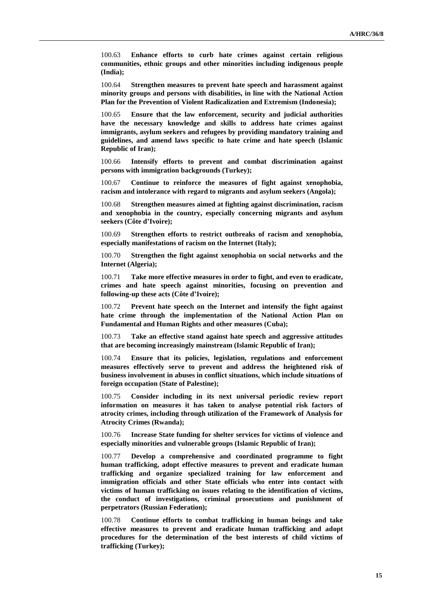100.63 **Enhance efforts to curb hate crimes against certain religious communities, ethnic groups and other minorities including indigenous people (India);**

100.64 **Strengthen measures to prevent hate speech and harassment against minority groups and persons with disabilities, in line with the National Action Plan for the Prevention of Violent Radicalization and Extremism (Indonesia);**

100.65 **Ensure that the law enforcement, security and judicial authorities have the necessary knowledge and skills to address hate crimes against immigrants, asylum seekers and refugees by providing mandatory training and guidelines, and amend laws specific to hate crime and hate speech (Islamic Republic of Iran);**

100.66 **Intensify efforts to prevent and combat discrimination against persons with immigration backgrounds (Turkey);**

100.67 **Continue to reinforce the measures of fight against xenophobia, racism and intolerance with regard to migrants and asylum seekers (Angola);**

100.68 **Strengthen measures aimed at fighting against discrimination, racism and xenophobia in the country, especially concerning migrants and asylum seekers (Côte d'Ivoire);**

100.69 **Strengthen efforts to restrict outbreaks of racism and xenophobia, especially manifestations of racism on the Internet (Italy);**

100.70 **Strengthen the fight against xenophobia on social networks and the Internet (Algeria);**

100.71 **Take more effective measures in order to fight, and even to eradicate, crimes and hate speech against minorities, focusing on prevention and following-up these acts (Côte d'Ivoire);**

100.72 **Prevent hate speech on the Internet and intensify the fight against hate crime through the implementation of the National Action Plan on Fundamental and Human Rights and other measures (Cuba);**

100.73 **Take an effective stand against hate speech and aggressive attitudes that are becoming increasingly mainstream (Islamic Republic of Iran);**

100.74 **Ensure that its policies, legislation, regulations and enforcement measures effectively serve to prevent and address the heightened risk of business involvement in abuses in conflict situations, which include situations of foreign occupation (State of Palestine);**

100.75 **Consider including in its next universal periodic review report information on measures it has taken to analyse potential risk factors of atrocity crimes, including through utilization of the Framework of Analysis for Atrocity Crimes (Rwanda);**

100.76 **Increase State funding for shelter services for victims of violence and especially minorities and vulnerable groups (Islamic Republic of Iran);**

100.77 **Develop a comprehensive and coordinated programme to fight human trafficking, adopt effective measures to prevent and eradicate human trafficking and organize specialized training for law enforcement and immigration officials and other State officials who enter into contact with victims of human trafficking on issues relating to the identification of victims, the conduct of investigations, criminal prosecutions and punishment of perpetrators (Russian Federation);**

100.78 **Continue efforts to combat trafficking in human beings and take effective measures to prevent and eradicate human trafficking and adopt procedures for the determination of the best interests of child victims of trafficking (Turkey);**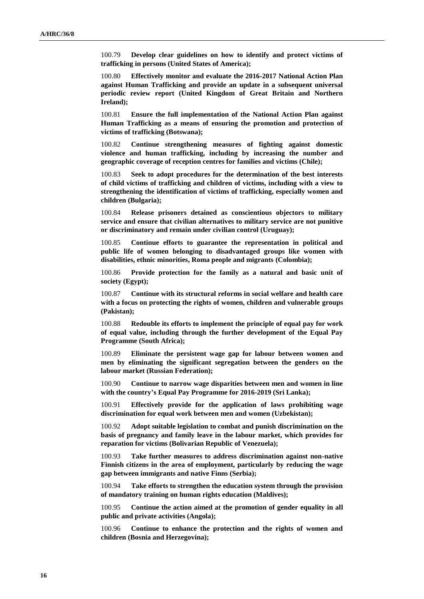100.79 **Develop clear guidelines on how to identify and protect victims of trafficking in persons (United States of America);**

100.80 **Effectively monitor and evaluate the 2016-2017 National Action Plan against Human Trafficking and provide an update in a subsequent universal periodic review report (United Kingdom of Great Britain and Northern Ireland);**

100.81 **Ensure the full implementation of the National Action Plan against Human Trafficking as a means of ensuring the promotion and protection of victims of trafficking (Botswana);**

100.82 **Continue strengthening measures of fighting against domestic violence and human trafficking, including by increasing the number and geographic coverage of reception centres for families and victims (Chile);**

100.83 **Seek to adopt procedures for the determination of the best interests of child victims of trafficking and children of victims, including with a view to strengthening the identification of victims of trafficking, especially women and children (Bulgaria);**

100.84 **Release prisoners detained as conscientious objectors to military service and ensure that civilian alternatives to military service are not punitive or discriminatory and remain under civilian control (Uruguay);**

100.85 **Continue efforts to guarantee the representation in political and public life of women belonging to disadvantaged groups like women with disabilities, ethnic minorities, Roma people and migrants (Colombia);**

100.86 **Provide protection for the family as a natural and basic unit of society (Egypt);**

100.87 **Continue with its structural reforms in social welfare and health care with a focus on protecting the rights of women, children and vulnerable groups (Pakistan);**

100.88 **Redouble its efforts to implement the principle of equal pay for work of equal value, including through the further development of the Equal Pay Programme (South Africa);**

100.89 **Eliminate the persistent wage gap for labour between women and men by eliminating the significant segregation between the genders on the labour market (Russian Federation);**

100.90 **Continue to narrow wage disparities between men and women in line with the country's Equal Pay Programme for 2016-2019 (Sri Lanka);**

100.91 **Effectively provide for the application of laws prohibiting wage discrimination for equal work between men and women (Uzbekistan);**

100.92 **Adopt suitable legislation to combat and punish discrimination on the basis of pregnancy and family leave in the labour market, which provides for reparation for victims (Bolivarian Republic of Venezuela);**

100.93 **Take further measures to address discrimination against non-native Finnish citizens in the area of employment, particularly by reducing the wage gap between immigrants and native Finns (Serbia);**

100.94 **Take efforts to strengthen the education system through the provision of mandatory training on human rights education (Maldives);**

100.95 **Continue the action aimed at the promotion of gender equality in all public and private activities (Angola);**

100.96 **Continue to enhance the protection and the rights of women and children (Bosnia and Herzegovina);**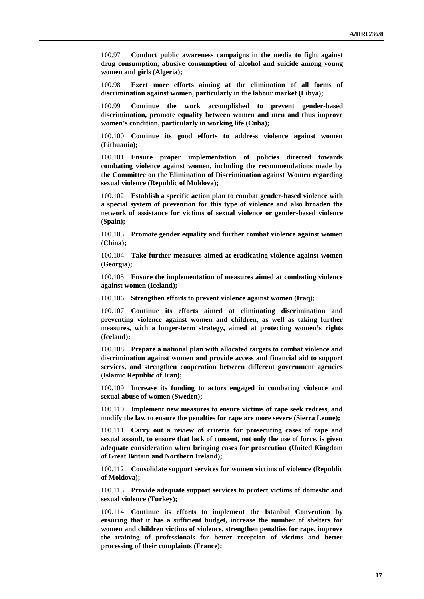100.97 **Conduct public awareness campaigns in the media to fight against drug consumption, abusive consumption of alcohol and suicide among young women and girls (Algeria);**

100.98 **Exert more efforts aiming at the elimination of all forms of discrimination against women, particularly in the labour market (Libya);**

100.99 **Continue the work accomplished to prevent gender-based discrimination, promote equality between women and men and thus improve women's condition, particularly in working life (Cuba);**

100.100 **Continue its good efforts to address violence against women (Lithuania);**

100.101 **Ensure proper implementation of policies directed towards combating violence against women, including the recommendations made by the Committee on the Elimination of Discrimination against Women regarding sexual violence (Republic of Moldova);**

100.102 **Establish a specific action plan to combat gender-based violence with a special system of prevention for this type of violence and also broaden the network of assistance for victims of sexual violence or gender-based violence (Spain);**

100.103 **Promote gender equality and further combat violence against women (China);**

100.104 **Take further measures aimed at eradicating violence against women (Georgia);**

100.105 **Ensure the implementation of measures aimed at combating violence against women (Iceland);**

100.106 **Strengthen efforts to prevent violence against women (Iraq);**

100.107 **Continue its efforts aimed at eliminating discrimination and preventing violence against women and children, as well as taking further measures, with a longer-term strategy, aimed at protecting women's rights (Iceland);**

100.108 **Prepare a national plan with allocated targets to combat violence and discrimination against women and provide access and financial aid to support services, and strengthen cooperation between different government agencies (Islamic Republic of Iran);**

100.109 **Increase its funding to actors engaged in combating violence and sexual abuse of women (Sweden);**

100.110 **Implement new measures to ensure victims of rape seek redress, and modify the law to ensure the penalties for rape are more severe (Sierra Leone);**

100.111 **Carry out a review of criteria for prosecuting cases of rape and sexual assault, to ensure that lack of consent, not only the use of force, is given adequate consideration when bringing cases for prosecution (United Kingdom of Great Britain and Northern Ireland);**

100.112 **Consolidate support services for women victims of violence (Republic of Moldova);**

100.113 **Provide adequate support services to protect victims of domestic and sexual violence (Turkey);**

100.114 **Continue its efforts to implement the Istanbul Convention by ensuring that it has a sufficient budget, increase the number of shelters for women and children victims of violence, strengthen penalties for rape, improve the training of professionals for better reception of victims and better processing of their complaints (France);**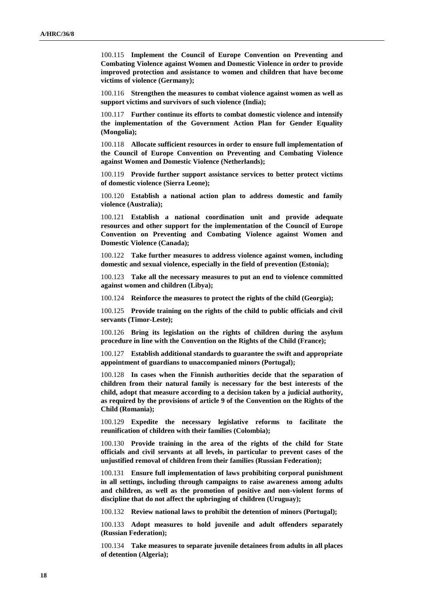100.115 **Implement the Council of Europe Convention on Preventing and Combating Violence against Women and Domestic Violence in order to provide improved protection and assistance to women and children that have become victims of violence (Germany);**

100.116 **Strengthen the measures to combat violence against women as well as support victims and survivors of such violence (India);**

100.117 **Further continue its efforts to combat domestic violence and intensify the implementation of the Government Action Plan for Gender Equality (Mongolia);**

100.118 **Allocate sufficient resources in order to ensure full implementation of the Council of Europe Convention on Preventing and Combating Violence against Women and Domestic Violence (Netherlands);**

100.119 **Provide further support assistance services to better protect victims of domestic violence (Sierra Leone);**

100.120 **Establish a national action plan to address domestic and family violence (Australia);**

100.121 **Establish a national coordination unit and provide adequate resources and other support for the implementation of the Council of Europe Convention on Preventing and Combating Violence against Women and Domestic Violence (Canada);**

100.122 **Take further measures to address violence against women, including domestic and sexual violence, especially in the field of prevention (Estonia);**

100.123 **Take all the necessary measures to put an end to violence committed against women and children (Libya);**

100.124 **Reinforce the measures to protect the rights of the child (Georgia);**

100.125 **Provide training on the rights of the child to public officials and civil servants (Timor-Leste);**

100.126 **Bring its legislation on the rights of children during the asylum procedure in line with the Convention on the Rights of the Child (France);**

100.127 **Establish additional standards to guarantee the swift and appropriate appointment of guardians to unaccompanied minors (Portugal);**

100.128 **In cases when the Finnish authorities decide that the separation of children from their natural family is necessary for the best interests of the child, adopt that measure according to a decision taken by a judicial authority, as required by the provisions of article 9 of the Convention on the Rights of the Child (Romania);**

100.129 **Expedite the necessary legislative reforms to facilitate the reunification of children with their families (Colombia);**

100.130 **Provide training in the area of the rights of the child for State officials and civil servants at all levels, in particular to prevent cases of the unjustified removal of children from their families (Russian Federation);**

100.131 **Ensure full implementation of laws prohibiting corporal punishment in all settings, including through campaigns to raise awareness among adults and children, as well as the promotion of positive and non-violent forms of discipline that do not affect the upbringing of children (Uruguay);**

100.132 **Review national laws to prohibit the detention of minors (Portugal);**

100.133 **Adopt measures to hold juvenile and adult offenders separately (Russian Federation);**

100.134 **Take measures to separate juvenile detainees from adults in all places of detention (Algeria);**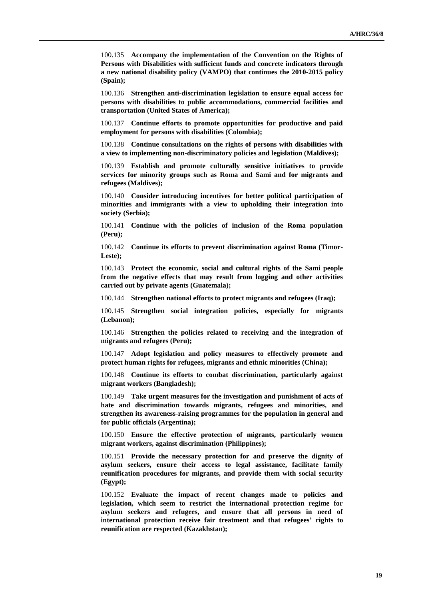100.135 **Accompany the implementation of the Convention on the Rights of Persons with Disabilities with sufficient funds and concrete indicators through a new national disability policy (VAMPO) that continues the 2010-2015 policy (Spain);**

100.136 **Strengthen anti-discrimination legislation to ensure equal access for persons with disabilities to public accommodations, commercial facilities and transportation (United States of America);**

100.137 **Continue efforts to promote opportunities for productive and paid employment for persons with disabilities (Colombia);**

100.138 **Continue consultations on the rights of persons with disabilities with a view to implementing non-discriminatory policies and legislation (Maldives);**

100.139 **Establish and promote culturally sensitive initiatives to provide services for minority groups such as Roma and Sami and for migrants and refugees (Maldives);**

100.140 **Consider introducing incentives for better political participation of minorities and immigrants with a view to upholding their integration into society (Serbia);**

100.141 **Continue with the policies of inclusion of the Roma population (Peru);**

100.142 **Continue its efforts to prevent discrimination against Roma (Timor-Leste);**

100.143 **Protect the economic, social and cultural rights of the Sami people from the negative effects that may result from logging and other activities carried out by private agents (Guatemala);**

100.144 **Strengthen national efforts to protect migrants and refugees (Iraq);**

100.145 **Strengthen social integration policies, especially for migrants (Lebanon);**

100.146 **Strengthen the policies related to receiving and the integration of migrants and refugees (Peru);**

100.147 **Adopt legislation and policy measures to effectively promote and protect human rights for refugees, migrants and ethnic minorities (China);**

100.148 **Continue its efforts to combat discrimination, particularly against migrant workers (Bangladesh);**

100.149 **Take urgent measures for the investigation and punishment of acts of hate and discrimination towards migrants, refugees and minorities, and strengthen its awareness-raising programmes for the population in general and for public officials (Argentina);**

100.150 **Ensure the effective protection of migrants, particularly women migrant workers, against discrimination (Philippines);**

100.151 **Provide the necessary protection for and preserve the dignity of asylum seekers, ensure their access to legal assistance, facilitate family reunification procedures for migrants, and provide them with social security (Egypt);**

100.152 **Evaluate the impact of recent changes made to policies and legislation, which seem to restrict the international protection regime for asylum seekers and refugees, and ensure that all persons in need of international protection receive fair treatment and that refugees' rights to reunification are respected (Kazakhstan);**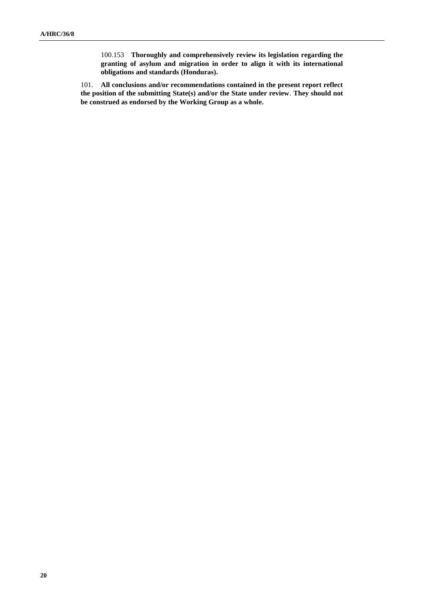100.153 **Thoroughly and comprehensively review its legislation regarding the granting of asylum and migration in order to align it with its international obligations and standards (Honduras).**

101. **All conclusions and/or recommendations contained in the present report reflect the position of the submitting State(s) and/or the State under review**. **They should not be construed as endorsed by the Working Group as a whole.**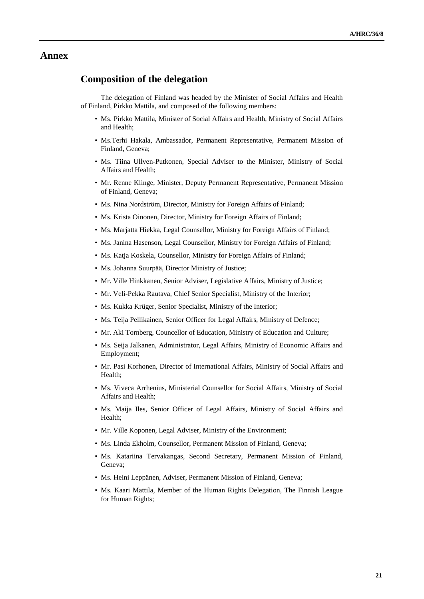### **Annex**

## **Composition of the delegation**

The delegation of Finland was headed by the Minister of Social Affairs and Health of Finland, Pirkko Mattila, and composed of the following members:

- Ms. Pirkko Mattila, Minister of Social Affairs and Health, Ministry of Social Affairs and Health;
- Ms.Terhi Hakala, Ambassador, Permanent Representative, Permanent Mission of Finland, Geneva;
- Ms. Tiina Ullven-Putkonen, Special Adviser to the Minister, Ministry of Social Affairs and Health;
- Mr. Renne Klinge, Minister, Deputy Permanent Representative, Permanent Mission of Finland, Geneva;
- Ms. Nina Nordström, Director, Ministry for Foreign Affairs of Finland;
- Ms. Krista Oinonen, Director, Ministry for Foreign Affairs of Finland;
- Ms. Marjatta Hiekka, Legal Counsellor, Ministry for Foreign Affairs of Finland;
- Ms. Janina Hasenson, Legal Counsellor, Ministry for Foreign Affairs of Finland;
- Ms. Katja Koskela, Counsellor, Ministry for Foreign Affairs of Finland;
- Ms. Johanna Suurpää, Director Ministry of Justice;
- Mr. Ville Hinkkanen, Senior Adviser, Legislative Affairs, Ministry of Justice;
- Mr. Veli-Pekka Rautava, Chief Senior Specialist, Ministry of the Interior;
- Ms. Kukka Krüger, Senior Specialist, Ministry of the Interior;
- Ms. Teija Pellikainen, Senior Officer for Legal Affairs, Ministry of Defence;
- Mr. Aki Tornberg, Councellor of Education, Ministry of Education and Culture;
- Ms. Seija Jalkanen, Administrator, Legal Affairs, Ministry of Economic Affairs and Employment;
- Mr. Pasi Korhonen, Director of International Affairs, Ministry of Social Affairs and Health;
- Ms. Viveca Arrhenius, Ministerial Counsellor for Social Affairs, Ministry of Social Affairs and Health;
- Ms. Maija Iles, Senior Officer of Legal Affairs, Ministry of Social Affairs and Health;
- Mr. Ville Koponen, Legal Adviser, Ministry of the Environment;
- Ms. Linda Ekholm, Counsellor, Permanent Mission of Finland, Geneva;
- Ms. Katariina Tervakangas, Second Secretary, Permanent Mission of Finland, Geneva;
- Ms. Heini Leppänen, Adviser, Permanent Mission of Finland, Geneva;
- Ms. Kaari Mattila, Member of the Human Rights Delegation, The Finnish League for Human Rights;